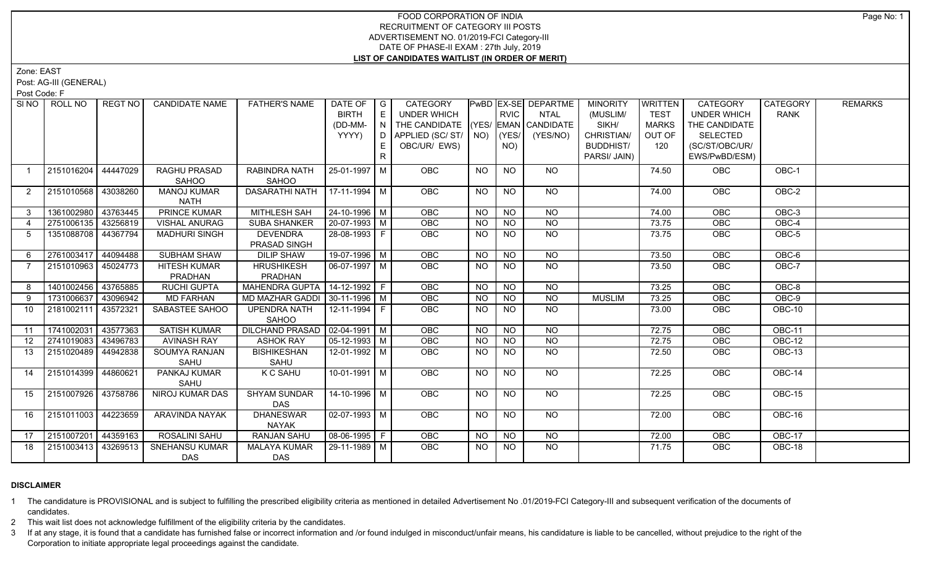# FOOD CORPORATION OF INDIA RECRUITMENT OF CATEGORY III POSTS ADVERTISEMENT NO. 01/2019-FCI Category-III DATE OF PHASE-II EXAM : 27th July, 2019 **LIST OF CANDIDATES WAITLIST (IN ORDER OF MERIT)**

Zone: EAST

Post: AG-III (GENERAL)

Post Code: F

|                 | SINO ROLL NO        | REGT NO  | <b>CANDIDATE NAME</b>  | <b>FATHER'S NAME</b>             | DATE OF G<br><b>BIRTH</b> | E  | CATEGORY<br><b>UNDER WHICH</b>     |                | <b>RVIC</b>     | PwBD EX-SE DEPARTME<br><b>NTAL</b> | <b>MINORITY</b><br>(MUSLIM/ | WRITTEN<br><b>TEST</b> | CATEGORY<br><b>UNDER WHICH</b> | <b>CATEGORY</b><br><b>RANK</b> | <b>REMARKS</b> |
|-----------------|---------------------|----------|------------------------|----------------------------------|---------------------------|----|------------------------------------|----------------|-----------------|------------------------------------|-----------------------------|------------------------|--------------------------------|--------------------------------|----------------|
|                 |                     |          |                        |                                  | (DD-MM-                   |    | THE CANDIDATE (YES/ EMAN CANDIDATE |                |                 |                                    | SIKH/                       | <b>MARKS</b>           | THE CANDIDATE                  |                                |                |
|                 |                     |          |                        |                                  | YYYY)                     |    |                                    |                |                 | (YES/NO)                           | CHRISTIAN/                  | OUT OF                 | <b>SELECTED</b>                |                                |                |
|                 |                     |          |                        |                                  |                           | E  | OBC/UR/ EWS)                       |                | NO)             |                                    | <b>BUDDHIST/</b>            | 120                    | (SC/ST/OBC/UR/                 |                                |                |
|                 |                     |          |                        |                                  |                           | R. |                                    |                |                 |                                    | PARSI/ JAIN)                |                        | EWS/PwBD/ESM)                  |                                |                |
|                 |                     |          |                        |                                  |                           |    |                                    |                |                 |                                    |                             |                        |                                |                                |                |
| $\overline{1}$  | 2151016204          | 44447029 | RAGHU PRASAD<br>SAHOO  | RABINDRA NATH<br>SAHOO           | 25-01-1997   M            |    | OBC                                | <b>NO</b>      | <b>NO</b>       | <b>NO</b>                          |                             | 74.50                  | <b>OBC</b>                     | OBC-1                          |                |
|                 | 2151010568          | 43038260 | <b>MANOJ KUMAR</b>     | DASARATHI NATH                   | 17-11-1994   M            |    | OBC                                | <b>NO</b>      | <b>NO</b>       | NO                                 |                             |                        | OBC                            | OBC-2                          |                |
| $\overline{2}$  |                     |          | <b>NATH</b>            |                                  |                           |    |                                    |                |                 |                                    |                             | 74.00                  |                                |                                |                |
| 3               | 1361002980          | 43763445 | PRINCE KUMAR           | MITHLESH SAH                     | 24-10-1996   M            |    | OBC                                | <b>NO</b>      | N <sub>O</sub>  | <b>NO</b>                          |                             | 74.00                  | OBC                            | OBC-3                          |                |
| $\overline{4}$  | 2751006135          | 43256819 | VISHAL ANURAG          | <b>SUBA SHANKER</b>              | 20-07-1993 M              |    | OBC                                | <b>NO</b>      | $\overline{NO}$ | $\overline{NO}$                    |                             | 73.75                  | OBC                            | $OBC-4$                        |                |
| 5               | 1351088708 44367794 |          | <b>MADHURI SINGH</b>   | <b>DEVENDRA</b>                  | 28-08-1993 F              |    | OBC                                | <b>NO</b>      | <b>NO</b>       | $\overline{NO}$                    |                             | 73.75                  | OBC                            | $OBC-5$                        |                |
|                 |                     |          |                        | PRASAD SINGH                     |                           |    |                                    |                |                 |                                    |                             |                        |                                |                                |                |
| -6              | 2761003417 44094488 |          | <b>SUBHAM SHAW</b>     | <b>DILIP SHAW</b>                | 19-07-1996 M              |    | OBC                                | <b>NO</b>      | N <sub>O</sub>  | N <sub>O</sub>                     |                             | 73.50                  | OBC                            | $OBC-6$                        |                |
| $\overline{7}$  | 2151010963          | 45024773 | <b>HITESH KUMAR</b>    | <b>HRUSHIKESH</b>                | 06-07-1997   M            |    | <b>OBC</b>                         | NO.            | NO              | NO                                 |                             | 73.50                  | <b>OBC</b>                     | OBC-7                          |                |
|                 |                     |          | PRADHAN                | PRADHAN                          |                           |    |                                    |                |                 |                                    |                             |                        |                                |                                |                |
| 8               | 1401002456          | 43765885 | <b>RUCHI GUPTA</b>     | <b>MAHENDRA GUPTA</b>            | $14 - 12 - 1992$ F        |    | OBC                                | $N$ O          | $N$ O           | $N$ <sup>O</sup>                   |                             | 73.25                  | OBC                            | OBC-8                          |                |
| 9               | 1731006637          | 43096942 | <b>MD FARHAN</b>       | MD MAZHAR GADDI 30-11-1996   M   |                           |    | OBC                                | <b>NO</b>      | $N$ O           | $N$ O                              | <b>MUSLIM</b>               | 73.25                  | OBC                            | $OBC-9$                        |                |
| 10              | 2181002111          | 43572321 | SABASTEE SAHOO         | <b>UPENDRA NATH</b>              | 12-11-1994 F              |    | OBC                                | <b>NO</b>      | <b>NO</b>       | NO                                 |                             | 73.00                  | OBC                            | OBC-10                         |                |
|                 |                     |          |                        | SAHOO                            |                           |    |                                    |                |                 |                                    |                             |                        |                                |                                |                |
| 11              | 1741002031          | 43577363 | <b>SATISH KUMAR</b>    | DILCHAND PRASAD   02-04-1991   M |                           |    | <b>OBC</b>                         | <b>NO</b>      | $N$ O           | $N$ <sup>O</sup>                   |                             | 72.75                  | <b>OBC</b>                     | <b>OBC-11</b>                  |                |
| 12 <sup>2</sup> | 2741019083          | 43496783 | <b>AVINASH RAY</b>     | <b>ASHOK RAY</b>                 | $05-12-1993$ M            |    | OBC                                | <b>NO</b>      | <b>NO</b>       | <b>NO</b>                          |                             | 72.75                  | OBC                            | <b>OBC-12</b>                  |                |
| 13              | 2151020489          | 44942838 | SOUMYA RANJAN          | <b>BISHIKESHAN</b>               | 12-01-1992 M              |    | OBC                                | <b>NO</b>      | <b>NO</b>       | $N$ <sup>O</sup>                   |                             | 72.50                  | OBC                            | OBC-13                         |                |
|                 |                     |          | SAHU                   | SAHU                             |                           |    |                                    |                |                 |                                    |                             |                        |                                |                                |                |
| 14              | 2151014399          | 44860621 | PANKAJ KUMAR<br>SAHU   | K C SAHU                         | $10-01-1991$ M            |    | OBC                                | <b>NO</b>      | <b>NO</b>       | NO                                 |                             | 72.25                  | <b>OBC</b>                     | OBC-14                         |                |
| 15              | 2151007926          | 43758786 | <b>NIROJ KUMAR DAS</b> | <b>SHYAM SUNDAR</b>              | $14 - 10 - 1996$ M        |    | OBC                                | N <sub>O</sub> | $\overline{NO}$ | $\overline{NO}$                    |                             | 72.25                  | OBC                            | $OBC-15$                       |                |
|                 |                     |          |                        | <b>DAS</b>                       |                           |    |                                    |                |                 |                                    |                             |                        |                                |                                |                |
| 16              | 2151011003          | 44223659 | ARAVINDA NAYAK         | <b>DHANESWAR</b>                 | 02-07-1993 M              |    | <b>OBC</b>                         | <b>NO</b>      | <b>NO</b>       | NO                                 |                             | 72.00                  | OBC                            | OBC-16                         |                |
|                 |                     |          |                        | <b>NAYAK</b>                     |                           |    |                                    |                |                 |                                    |                             |                        |                                |                                |                |
| 17              | 2151007201          | 44359163 | ROSALINI SAHU          | RANJAN SAHU                      | $ 08-06-1995 F$           |    | OBC                                | <b>NO</b>      | <b>NO</b>       | <b>NO</b>                          |                             | 72.00                  | OBC                            | OBC-17                         |                |
| 18              | 2151003413 43269513 |          | <b>SNEHANSU KUMAR</b>  | <b>MALAYA KUMAR</b>              | 29-11-1989   M            |    | <b>OBC</b>                         | NO.            | NO.             | $N$ <sup>O</sup>                   |                             | 71.75                  | <b>OBC</b>                     | OBC-18                         |                |
|                 |                     |          | DAS                    | DAS                              |                           |    |                                    |                |                 |                                    |                             |                        |                                |                                |                |

# **DISCLAIMER**

1 The candidature is PROVISIONAL and is subject to fulfilling the prescribed eligibility criteria as mentioned in detailed Advertisement No .01/2019-FCI Category-III and subsequent verification of the documents of candidates.

2 This wait list does not acknowledge fulfillment of the eligibility criteria by the candidates.

3 If at any stage, it is found that a candidate has furnished false or incorrect information and /or found indulged in misconduct/unfair means, his candidature is liable to be cancelled, without prejudice to the right of t Corporation to initiate appropriate legal proceedings against the candidate.

Page No: 1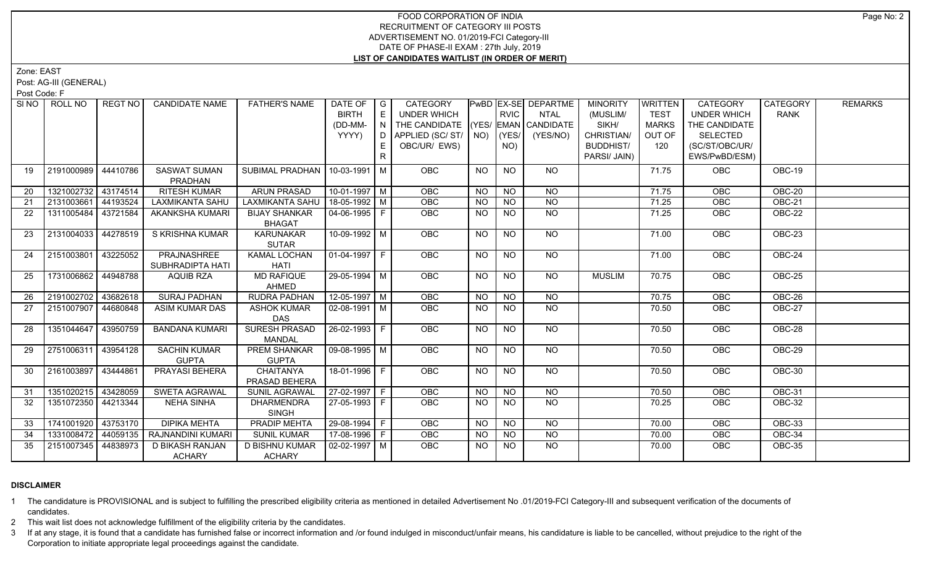# FOOD CORPORATION OF INDIA RECRUITMENT OF CATEGORY III POSTS ADVERTISEMENT NO. 01/2019-FCI Category-III DATE OF PHASE-II EXAM : 27th July, 2019 **LIST OF CANDIDATES WAITLIST (IN ORDER OF MERIT)**

Zone: EAST

Post: AG-III (GENERAL)

Post Code: F

| SI <sub>NO</sub> | ROLL NO             | REGT NO  | <b>CANDIDATE NAME</b>          | <b>FATHER'S NAME</b>                  | DATE OF<br><b>BIRTH</b> | $\overline{\phantom{a}}$ G<br>E | CATEGORY<br>UNDER WHICH            |           | <b>RVIC</b> | PwBD EX-SE DEPARTME<br><b>NTAL</b> | <b>MINORITY</b><br>(MUSLIM/ | WRITTEN<br><b>TEST</b> | CATEGORY<br><b>UNDER WHICH</b> | CATEGORY<br><b>RANK</b> | <b>REMARKS</b> |
|------------------|---------------------|----------|--------------------------------|---------------------------------------|-------------------------|---------------------------------|------------------------------------|-----------|-------------|------------------------------------|-----------------------------|------------------------|--------------------------------|-------------------------|----------------|
|                  |                     |          |                                |                                       | (DD-MM-                 |                                 | THE CANDIDATE (YES/ EMAN CANDIDATE |           |             |                                    | SIKH/                       | <b>MARKS</b>           | THE CANDIDATE                  |                         |                |
|                  |                     |          |                                |                                       | YYYY)                   |                                 | D   APPLIED (SC/ ST/   NO)         |           | $ $ (YES/   | (YES/NO)                           | CHRISTIAN/                  | OUT OF                 | <b>SELECTED</b>                |                         |                |
|                  |                     |          |                                |                                       |                         | E.                              | OBC/UR/ EWS)                       |           | NO)         |                                    | <b>BUDDHIST/</b>            | 120                    | (SC/ST/OBC/UR/                 |                         |                |
|                  |                     |          |                                |                                       |                         | $\mathsf{R}$                    |                                    |           |             |                                    | PARSI/ JAIN)                |                        | EWS/PwBD/ESM)                  |                         |                |
|                  |                     |          |                                |                                       |                         |                                 |                                    |           |             |                                    |                             |                        |                                |                         |                |
| 19               | 2191000989          | 44410786 | <b>SASWAT SUMAN</b>            | SUBIMAL PRADHAN   10-03-1991   M      |                         |                                 | <b>OBC</b>                         | <b>NO</b> | <b>NO</b>   | NO                                 |                             | 71.75                  | <b>OBC</b>                     | OBC-19                  |                |
|                  | 1321002732          | 43174514 | PRADHAN<br><b>RITESH KUMAR</b> | <b>ARUN PRASAD</b>                    | $10-01-1997$ M          |                                 | OBC                                | <b>NO</b> | <b>NO</b>   | <b>NO</b>                          |                             | 71.75                  | OBC                            | OBC-20                  |                |
| 20               |                     |          |                                |                                       |                         |                                 |                                    |           |             |                                    |                             |                        |                                |                         |                |
| 21               | 2131003661          | 44193524 | <b>LAXMIKANTA SAHU</b>         | LAXMIKANTA SAHU                       | 18-05-1992 M            |                                 | OBC                                | NO.       | <b>NO</b>   | <b>NO</b>                          |                             | 71.25                  | OBC                            | OBC-21                  |                |
| 22               | 1311005484          | 43721584 | AKANKSHA KUMARI                | <b>BIJAY SHANKAR</b><br><b>BHAGAT</b> | $ 04 - 06 - 1995 $ F    |                                 | <b>OBC</b>                         | <b>NO</b> | <b>NO</b>   | <b>NO</b>                          |                             | 71.25                  | OBC                            | OBC-22                  |                |
| 23               | 2131004033 44278519 |          | S KRISHNA KUMAR                | <b>KARUNAKAR</b>                      | 10-09-1992 M            |                                 | OBC                                | NO.       | <b>NO</b>   | $\overline{NO}$                    |                             | 71.00                  | OBC                            | <b>OBC-23</b>           |                |
|                  |                     |          |                                | <b>SUTAR</b>                          |                         |                                 |                                    |           |             |                                    |                             |                        |                                |                         |                |
| 24               | 2151003801 43225052 |          | PRAJNASHREE                    | KAMAL LOCHAN                          | 01-04-1997   F          |                                 | OBC                                | NO.       | <b>NO</b>   | NO                                 |                             | 71.00                  | OBC                            | OBC-24                  |                |
|                  |                     |          | SUBHRADIPTA HATI               | HATI                                  |                         |                                 |                                    |           |             |                                    |                             |                        |                                |                         |                |
| 25               | 1731006862          | 44948788 | <b>AQUIB RZA</b>               | <b>MD RAFIQUE</b>                     | $29 - 05 - 1994$ M      |                                 | <b>OBC</b>                         | <b>NO</b> | NO.         | NO                                 | <b>MUSLIM</b>               | 70.75                  | <b>OBC</b>                     | OBC-25                  |                |
|                  |                     |          |                                | AHMED                                 |                         |                                 |                                    |           |             |                                    |                             |                        |                                |                         |                |
| 26               | 2191002702 43682618 |          | <b>SURAJ PADHAN</b>            | <b>RUDRA PADHAN</b>                   | $12-05-1997$ M          |                                 | <b>OBC</b>                         | NO        | NO          | NO                                 |                             | 70.75                  | OBC                            | $OBC-26$                |                |
| 27               | 2151007907 44680848 |          | <b>ASIM KUMAR DAS</b>          | <b>ASHOK KUMAR</b><br>DAS             | 02-08-1991   M          |                                 | OBC                                | <b>NO</b> | <b>NO</b>   | <b>NO</b>                          |                             | 70.50                  | OBC                            | OBC-27                  |                |
| 28               | 1351044647          | 43950759 | <b>BANDANA KUMARI</b>          | SURESH PRASAD                         | $26 - 02 - 1993$ F      |                                 | OBC                                | <b>NO</b> | <b>NO</b>   | NO                                 |                             | 70.50                  | OBC                            | OBC-28                  |                |
|                  |                     |          |                                | <b>MANDAL</b>                         |                         |                                 |                                    |           |             |                                    |                             |                        |                                |                         |                |
| 29               | 2751006311 43954128 |          | <b>SACHIN KUMAR</b>            | <b>PREM SHANKAR</b>                   | $\sqrt{09-08-1995}$ M   |                                 | OBC                                | <b>NO</b> | <b>NO</b>   | NO                                 |                             | 70.50                  | OBC                            | $OBC-29$                |                |
|                  |                     |          | <b>GUPTA</b>                   | <b>GUPTA</b>                          |                         |                                 |                                    |           |             |                                    |                             |                        |                                |                         |                |
| 30               | 2161003897 43444861 |          | PRAYASI BEHERA                 | <b>CHAITANYA</b>                      | 18-01-1996 F            |                                 | OBC                                | NO.       | NO.         | NO                                 |                             | 70.50                  | OBC                            | OBC-30                  |                |
|                  |                     |          |                                | PRASAD BEHERA                         |                         |                                 |                                    |           |             |                                    |                             |                        |                                |                         |                |
| 31               | 1351020215          | 43428059 | <b>SWETA AGRAWAL</b>           | SUNIL AGRAWAL                         | $27-02-1997$ F          |                                 | OBC                                | <b>NO</b> | <b>NO</b>   | <b>NO</b>                          |                             | 70.50                  | OBC                            | <b>OBC-31</b>           |                |
| 32               | 1351072350 44213344 |          | <b>NEHA SINHA</b>              | <b>DHARMENDRA</b>                     | 27-05-1993 F            |                                 | OBC                                | NO.       | NO.         | <b>NO</b>                          |                             | 70.25                  | <b>OBC</b>                     | <b>OBC-32</b>           |                |
|                  |                     |          |                                | <b>SINGH</b>                          |                         |                                 |                                    |           |             |                                    |                             |                        |                                |                         |                |
| 33               | 1741001920 43753170 |          | <b>DIPIKA MEHTA</b>            | PRADIP MEHTA                          | 29-08-1994 F            |                                 | OBC                                | <b>NO</b> | <b>NO</b>   | <b>NO</b>                          |                             | 70.00                  | OBC                            | OBC-33                  |                |
| 34               | 1331008472          | 44059135 | RAJNANDINI KUMARI              | <b>SUNIL KUMAR</b>                    | 17-08-1996 F            |                                 | OBC                                | <b>NO</b> | <b>NO</b>   | <b>NO</b>                          |                             | 70.00                  | OBC                            | OBC-34                  |                |
| 35               | 2151007345 44838973 |          | D BIKASH RANJAN                | <b>D BISHNU KUMAR</b>                 | 02-02-1997   M          |                                 | <b>OBC</b>                         | NO.       | NO.         | <b>NO</b>                          |                             | 70.00                  | <b>OBC</b>                     | <b>OBC-35</b>           |                |
|                  |                     |          | <b>ACHARY</b>                  | <b>ACHARY</b>                         |                         |                                 |                                    |           |             |                                    |                             |                        |                                |                         |                |

# **DISCLAIMER**

1 The candidature is PROVISIONAL and is subject to fulfilling the prescribed eligibility criteria as mentioned in detailed Advertisement No .01/2019-FCI Category-III and subsequent verification of the documents of candidates.

2 This wait list does not acknowledge fulfillment of the eligibility criteria by the candidates.

3 If at any stage, it is found that a candidate has furnished false or incorrect information and /or found indulged in misconduct/unfair means, his candidature is liable to be cancelled, without prejudice to the right of t Corporation to initiate appropriate legal proceedings against the candidate.

Page No: 2